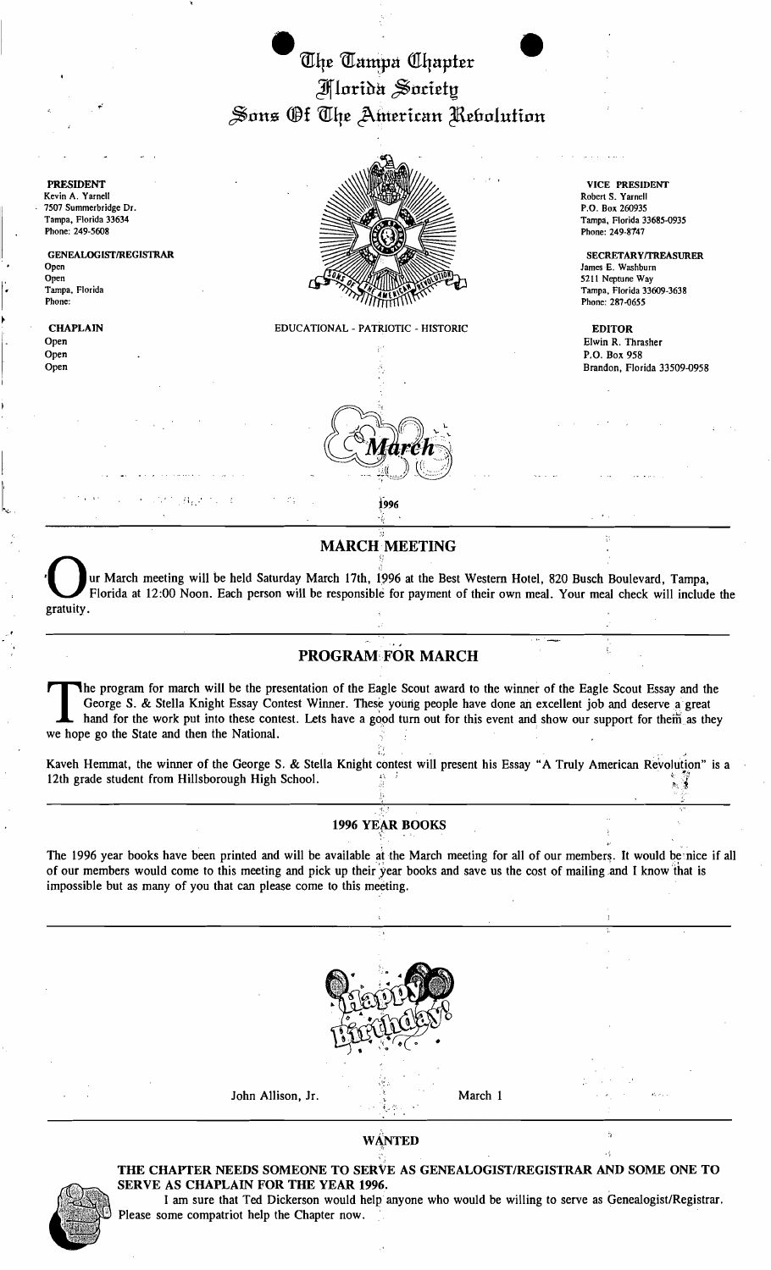

PRESIDENT Kevin A. Yarnell 7507 Summerbridge Dr. Tampa, Florida 33634 Phone: 249-5608

GENEALOGIST/REGISTRAR Open Open Tampa, Florida Phone:

**CHAPLAIN** Open Open Open

 $\mathbb{E}_{\mathbf{r} \sim \mathbf{r}}$ 

I

 $\downarrow$ 

EDUCATIONAL - PATRIOTIC - HISTORIC

VICE PRESIDENT Robert S, Yarnell P,O, Box 260935 Tampa, Florida 33685-0935 Phone: 249-8147

SECRETARY/TREASURER James E. Washburn 5211 Neptune Way Tampa, Florida 33609-3638 Phone: 287-0655

EDITOR Elwin R. Thrasher P.O. Box 958 Brandon, Florida 33509-0958

,', **MARCH MEETING** 

MARCH MEETING<br>
Ur March meeting will be held Saturday March 17th, 1996 at the Best Western Hotel, 820 Busch Boule<br>
Plorida at 12:00 Noon. Each person will be responsible for payment of their own meal. Your meal che • ur March meeting will be held Saturday March 17th, 1996 at the Best Western Hotel, 820 Busch Boulevard, Tampa, Florida at 12:00 Noon. Each person will be responsible for payment of their own meal. Your meal check will include the gratuity .

## PROGRAM FOR MARCH

.. ' • I~ ".\_\_

The program for march will be the presentation of the Eagle Scout award to the winner of the Eagle Scout Essay and the George S. & Stella Knight Essay Contest Winner. These young people have done an excellent job and deser George S. & Stella Knight Essay Contest Winner. These young people have done an excellent job and deserve a great hand for the work put into these contest. Lets have a good turn out for this event and show our support for them as they we hope go the State and then the National. '

Kaveh Hemmat, the winner of the George S. & Stella Knight contest will present his Essay" A Truly American Revolution" is a 12th grade student from Hillsborough High School.  $\frac{1}{2}$   $\frac{1}{3}$ 

주유 - Contract Andreas Andreas Andreas Andreas Andreas Andreas Andreas Andreas Andreas Andreas Andreas Andreas

" *' ..'.J...* 

#### 1996 YEAR BOOKS '~': .

The 1996 year books have been printed and will be available at the March meeting for all of our members. It would be nice if all of our members would come to this meeting and pick up their 'year books and save us the cost of mailing ,and I know 'that is impossible but as many of you that can please come to this meeting.



#### WANTED  $\mathbb{R}$  . The contract of the contract of the contract of the contract of the contract of the contract of the contract of the contract of the contract of the contract of the contract of the contract of the contract of th



### THE CHAPTER NEEDS SOMEONE TO SERVE AS GENEALOGIST/REGISTRAR AND SOME ONE TO SERVE AS CHAPLAIN FOR THE YEAR 1996.

I am sure that Ted Dickerson would help anyone who would be willing to serve as Genealogist/Registrar. Please some compatriot help the Chapter now.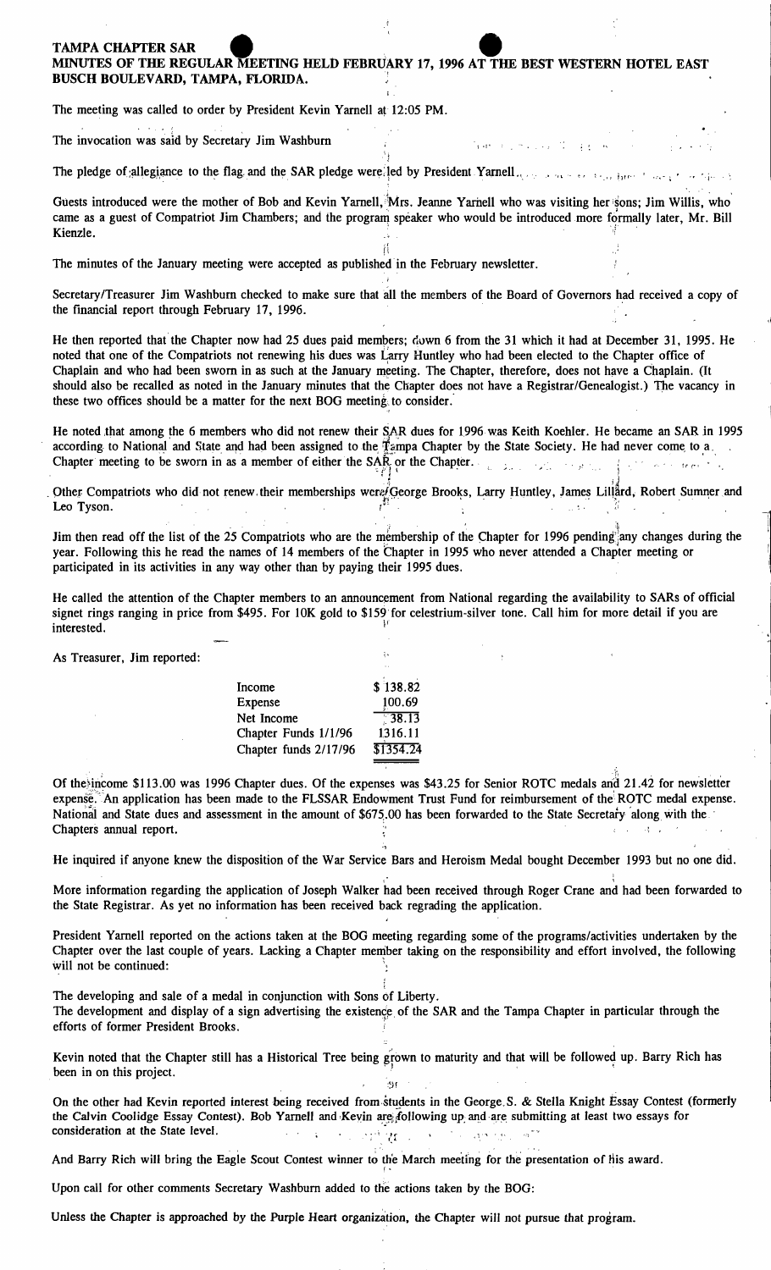# TAMPA CHAPTER SAR<br>MINUTES OF THE REGULAR MEETING HELD FEBRUARY 17, 1996 AT THE BEST WESTERN HOTEL EAST BUSCH BOULEVARD, TAMPA, FLORIDA.!

The meeting was called to order by President Kevin Yarnell at 12:05 PM.

The invocation was said by Secretary Jim Washburn

The pledge of allegiance to the flag and the SAR pledge were: led by President Yarnell ... *representation* by

Guests introduced were the mother of Bob and Kevin Yarnell, Mrs. Jeanne Yarnell who was visiting her sons; Jim Willis, who came as a guest of Compatriot Jim Chambers; and the program speaker who would be introduced more formally later, Mr. Bill MINUTES OF THE REGULAR MEETING HELD FEBRUARY 17, 1996 AT THE BEST WESTERN HOT<br>BUSCH BOULEVARD, TAMPA, FLORIDA.<br>The meeting was called to order by President Kevin Yarnell at 12:05 PM.<br>The invocation was said by Secretary Ji

The minutes of the January meeting were accepted as published in the February newsletter.

Secretary/Treasurer Jim Washburn checked to make sure that all the members of the Board of Governors had received a copy of the financial report through February 17, 1996.

He then reported that the Chapter now had 25 dues paid members; Gown 6 from the 31 which it had at December 31, 1995. He noted that one of the Compatriots not renewing his dues was Larry Huntley who had been elected to the Chapter office of Chaplain and who had been sworn in as such at the January meeting. The Chapter, therefore, does not have a Chaplain. (It should also be recalled as noted in the January minutes that the Chapter does not have a Registrar/Genealogist.) the vacancy in these two offices should be a matter for the next BOG meeting. to consider:

He noted that among the 6 members who did not renew their SAR dues for 1996 was Keith Koehler. He became an SAR in 1995 according to National and State and had been assigned to the Tampa Chapter by the State Society. He had never come to a Chapter meeting to be sworn in as a member of either the SA $\mathbb{R}$  or the Chapter.

. Other: Compatriots who did not renew their memberships wer $e$  George Brooks, Larry Huntley, James Lillard, Robert Sumner and Leo Tyson. The contract of the contract of  $\mathcal{U}^{s}$  is a contract of  $\mathcal{U}$  in the contract of  $\mathcal{U}$ e sworn in as a me<br>ho did not renew the<br>list of the 25 Com s, Larry Huntley, James Lilian

Jim then read off the list of the 25 Compatriots who are the membership of the Chapter for 1996 pending any changes during the . :i year. Following this he read the names of 14 members of the Chapter in 1995 who never attended a Chapter meeting or participated in its activities in any way other than by paying their 1995 dues.

He called the attention of the Chapter members to an announcement from National regarding the availability to SARs of official signet rings ranging in price from \$495. For 10K gold to \$159 for celestrium-silver tone. Call him for more detail if you are interested.

As Treasurer, Jim reported:

| Income                | \$138.82  |
|-----------------------|-----------|
| Expense               | 100.69    |
| Net Income            | 738.13    |
| Chapter Funds 1/1/96  | 1316.11   |
| Chapter funds 2/17/96 | \$1354.24 |

Of the income \$113.00 was 1996 Chapter dues. Of the expenses was \$43.25 for Senior ROTC medals and 21.42 for newsletter expense. An application has been made to the FLSSAR Endowment Trust Fund for reimbursement of the ROTC medal expense. National and State dues and assessment in the amount of \$675,00 has been forwarded to the State Secretary along with the Chapters annual report.

He inquired if anyone knew the disposition of the War Service Bars and Heroism Medal bought December 1993 but no one did.

More information regarding the application of Joseph Walker had been received through Roger Crane and had been forwarded to the State Registrar. As yet no information has been received back regrading the application.

President Yarnell reported on the actions taken at the BOG meeting regarding some of the programs/activities undertaken by the Chapter over the last couple of years. Lacking a Chapter member taking on the responsibility and effort involved, the following will not be continued: ,"

The developing and sale of a medal in conjunction with Sons of Liberty. The development and display of a sign advertising the existence of the SAR and the Tampa Chapter in particular through the The developing and sale of a medal in conjunction with Sons of Lib<br>The development and display of a sign advertising the existence of t<br>efforts of former President Brooks.

,

Kevin noted that the Chapter still has a Historical Tree being grown to maturity and that will be followed up. Barry Rich has been in on this project.

On the other had Kevin reported interest being received from students in the George.S. & Stella Knight Essay Contest (formerly the Calvin Coolidge Essay Contest). Bob Yarnell and Keyin are following up and are submitting at least two essays for consideration at the State level.  $\sqrt{2}$  ,  $\sqrt{2}$  ,  $\sqrt{2}$  ,  $\sqrt{2}$  $25^{\circ}$ 

And Barry Rich will bring the Eagle Scout Contest winner to the March meeting for the presentation of his award.

Upon call for other comments Secretary Washburn added to the actions taken by the BOG:

Unless the Chapter is approached by the Purple Heart organization, the Chapter will not pursue that program.